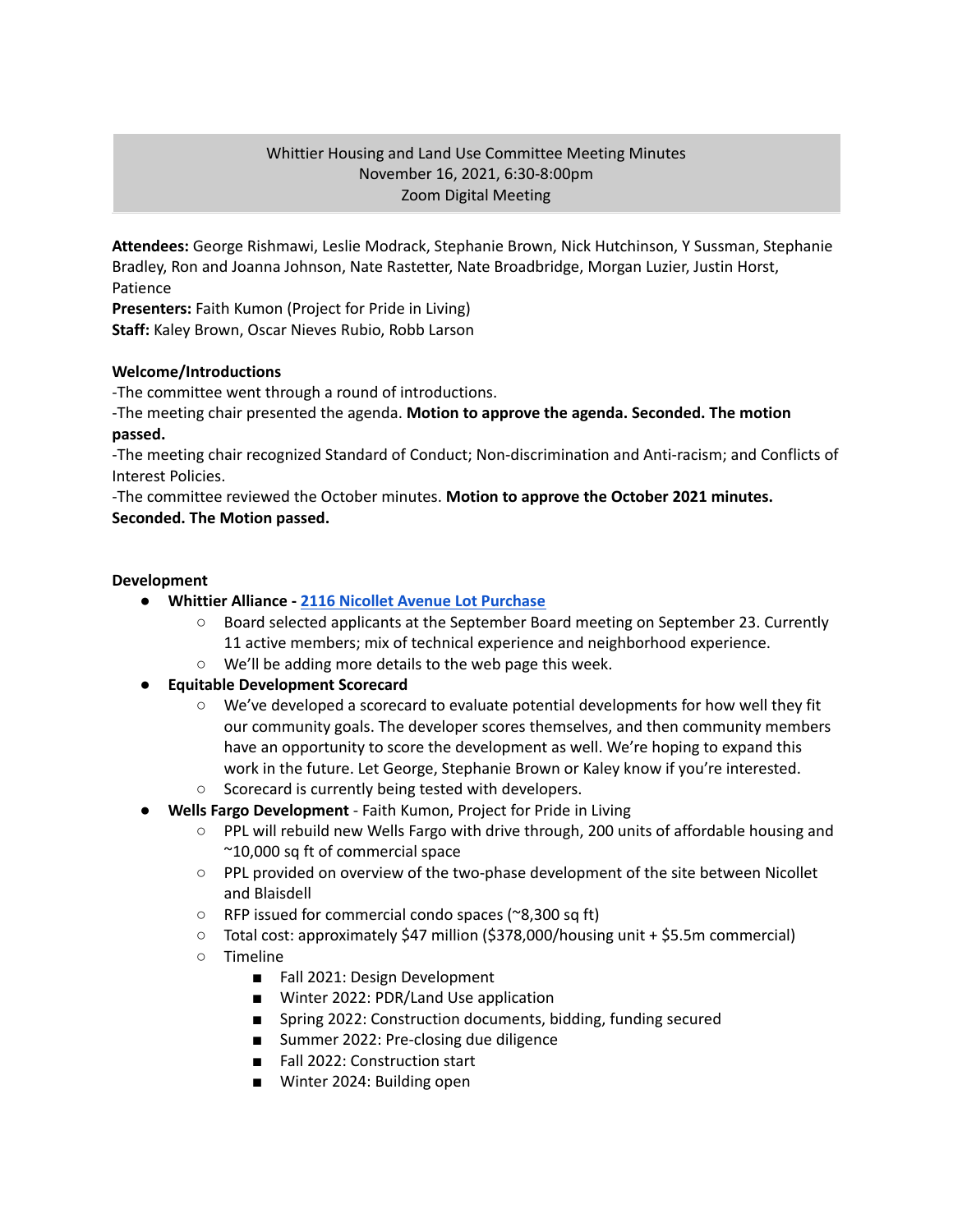## Whittier Housing and Land Use Committee Meeting Minutes November 16, 2021, 6:30-8:00pm Zoom Digital Meeting

**Attendees:** George Rishmawi, Leslie Modrack, Stephanie Brown, Nick Hutchinson, Y Sussman, Stephanie Bradley, Ron and Joanna Johnson, Nate Rastetter, Nate Broadbridge, Morgan Luzier, Justin Horst, Patience

**Presenters:** Faith Kumon (Project for Pride in Living)

**Staff:** Kaley Brown, Oscar Nieves Rubio, Robb Larson

## **Welcome/Introductions**

-The committee went through a round of introductions.

-The meeting chair presented the agenda. **Motion to approve the agenda. Seconded. The motion passed.**

-The meeting chair recognized Standard of Conduct; Non-discrimination and Anti-racism; and Conflicts of Interest Policies.

-The committee reviewed the October minutes. **Motion to approve the October 2021 minutes. Seconded. The Motion passed.**

## **Development**

- **● Whittier Alliance - 2116 Nicollet Avenue Lot [Purchase](https://www.whittieralliance.org/2116-nicollet-ave-vacant-lot.html)**
	- Board selected applicants at the September Board meeting on September 23. Currently 11 active members; mix of technical experience and neighborhood experience.
	- We'll be adding more details to the web page this week.

# **● Equitable Development Scorecard**

- We've developed a scorecard to evaluate potential developments for how well they fit our community goals. The developer scores themselves, and then community members have an opportunity to score the development as well. We're hoping to expand this work in the future. Let George, Stephanie Brown or Kaley know if you're interested.
- Scorecard is currently being tested with developers.
- **● Wells Fargo Development** Faith Kumon, Project for Pride in Living
	- PPL will rebuild new Wells Fargo with drive through, 200 units of affordable housing and ~10,000 sq ft of commercial space
	- PPL provided on overview of the two-phase development of the site between Nicollet and Blaisdell
	- RFP issued for commercial condo spaces (~8,300 sq ft)
	- Total cost: approximately \$47 million (\$378,000/housing unit + \$5.5m commercial)
	- Timeline
		- Fall 2021: Design Development
		- Winter 2022: PDR/Land Use application
		- Spring 2022: Construction documents, bidding, funding secured
		- Summer 2022: Pre-closing due diligence
		- Fall 2022: Construction start
		- Winter 2024: Building open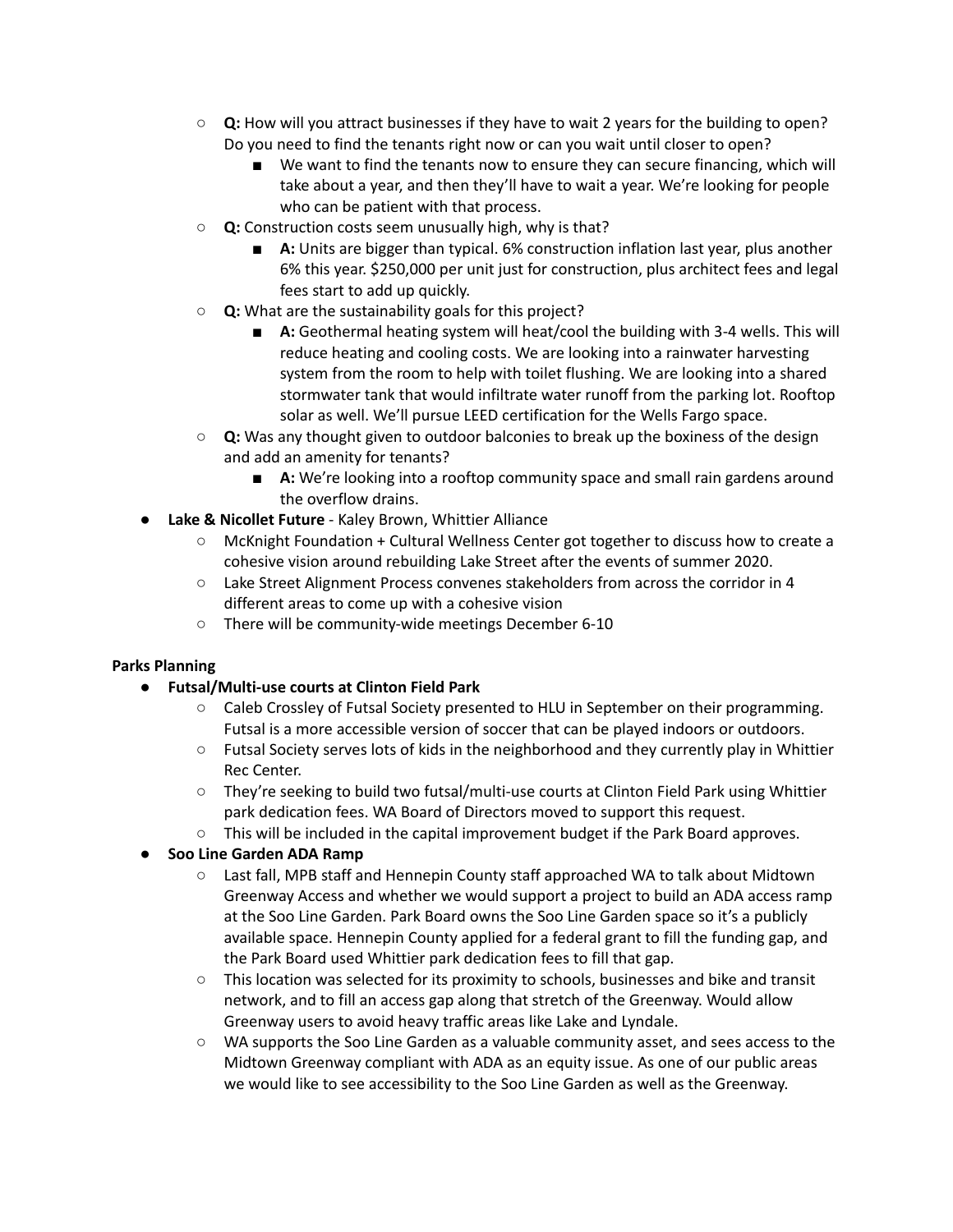- **○ Q:** How will you attract businesses if they have to wait 2 years for the building to open? Do you need to find the tenants right now or can you wait until closer to open?
	- We want to find the tenants now to ensure they can secure financing, which will take about a year, and then they'll have to wait a year. We're looking for people who can be patient with that process.
- **○ Q:** Construction costs seem unusually high, why is that?
	- **A:** Units are bigger than typical. 6% construction inflation last year, plus another 6% this year. \$250,000 per unit just for construction, plus architect fees and legal fees start to add up quickly.
- **○ Q:** What are the sustainability goals for this project?
	- **■ A:** Geothermal heating system will heat/cool the building with 3-4 wells. This will reduce heating and cooling costs. We are looking into a rainwater harvesting system from the room to help with toilet flushing. We are looking into a shared stormwater tank that would infiltrate water runoff from the parking lot. Rooftop solar as well. We'll pursue LEED certification for the Wells Fargo space.
- **○ Q:** Was any thought given to outdoor balconies to break up the boxiness of the design and add an amenity for tenants?
	- **■ A:** We're looking into a rooftop community space and small rain gardens around the overflow drains.
- **● Lake & Nicollet Future** Kaley Brown, Whittier Alliance
	- McKnight Foundation + Cultural Wellness Center got together to discuss how to create a cohesive vision around rebuilding Lake Street after the events of summer 2020.
	- Lake Street Alignment Process convenes stakeholders from across the corridor in 4 different areas to come up with a cohesive vision
	- There will be community-wide meetings December 6-10

### **Parks Planning**

- **● Futsal/Multi-use courts at Clinton Field Park**
	- Caleb Crossley of Futsal Society presented to HLU in September on their programming. Futsal is a more accessible version of soccer that can be played indoors or outdoors.
	- Futsal Society serves lots of kids in the neighborhood and they currently play in Whittier Rec Center.
	- They're seeking to build two futsal/multi-use courts at Clinton Field Park using Whittier park dedication fees. WA Board of Directors moved to support this request.
	- $\circ$  This will be included in the capital improvement budget if the Park Board approves.
- **● Soo Line Garden ADA Ramp**
	- Last fall, MPB staff and Hennepin County staff approached WA to talk about Midtown Greenway Access and whether we would support a project to build an ADA access ramp at the Soo Line Garden. Park Board owns the Soo Line Garden space so it's a publicly available space. Hennepin County applied for a federal grant to fill the funding gap, and the Park Board used Whittier park dedication fees to fill that gap.
	- This location was selected for its proximity to schools, businesses and bike and transit network, and to fill an access gap along that stretch of the Greenway. Would allow Greenway users to avoid heavy traffic areas like Lake and Lyndale.
	- WA supports the Soo Line Garden as a valuable community asset, and sees access to the Midtown Greenway compliant with ADA as an equity issue. As one of our public areas we would like to see accessibility to the Soo Line Garden as well as the Greenway.